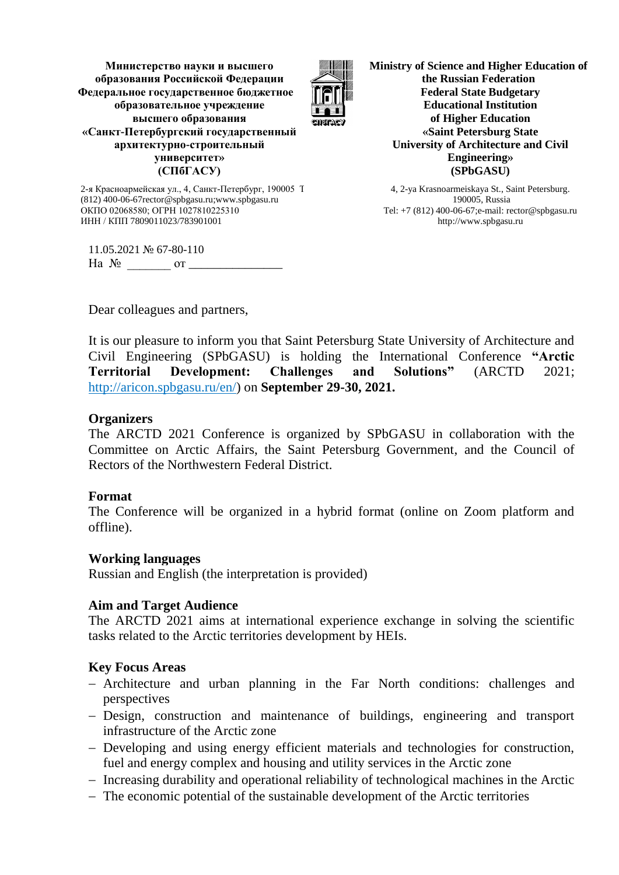**Министерство науки и высшего образования Российской Федерации Федеральное государственное бюджетное образовательное учреждение высшего образования «Санкт-Петербургский государственный архитектурно-строительный университет» (СПбГАСУ)**



**Ministry of Science and Higher Education of the Russian Federation Federal State Budgetary Educational Institution of Higher Education «Saint Petersburg State University of Architecture and Civil Engineering» (SPbGASU)**

4, 2-ya Krasnoarmeiskaya St., Saint Petersburg. 190005, Russia Tel: +7 (812) 400-06-67;e-mail: rector@spbgasu.ru http://www.spbgasu.ru

2-я Красноармейская ул., 4, Санкт-Петербург, 190005 Т (812) 400-06-67rector@spbgasu.ru;www.spbgasu.ru ОКПО 02068580; ОГРН 1027810225310 ИНН / КПП 7809011023/783901001

11.05.2021 № 67-80-110 На № \_\_\_\_\_\_\_ от \_\_\_\_\_\_\_\_\_\_\_\_\_\_\_

Dear colleagues and partners,

It is our pleasure to inform you that Saint Petersburg State University of Architecture and Civil Engineering (SPbGASU) is holding the International Conference **"Arctic Territorial Development: Challenges and Solutions"** (ARCTD 2021; [http://aricon.spbgasu.ru/en/\)](http://aricon.spbgasu.ru/en/) on **September 29-30, 2021.**

# **Organizers**

The ARCTD 2021 Conference is organized by SPbGASU in collaboration with the Committee on Arctic Affairs, the Saint Petersburg Government, and the Council of Rectors of the Northwestern Federal District.

## **Format**

The Conference will be organized in a hybrid format (online on Zoom platform and offline).

## **Working languages**

Russian and English (the interpretation is provided)

## **Aim and Target Audience**

The ARCTD 2021 aims at international experience exchange in solving the scientific tasks related to the Arctic territories development by HEIs.

## **Key Focus Areas**

- Architecture and urban planning in the Far North conditions: challenges and perspectives
- Design, construction and maintenance of buildings, engineering and transport infrastructure of the Arctic zone
- Developing and using energy efficient materials and technologies for construction, fuel and energy complex and housing and utility services in the Arctic zone
- Increasing durability and operational reliability of technological machines in the Arctic
- The economic potential of the sustainable development of the Arctic territories